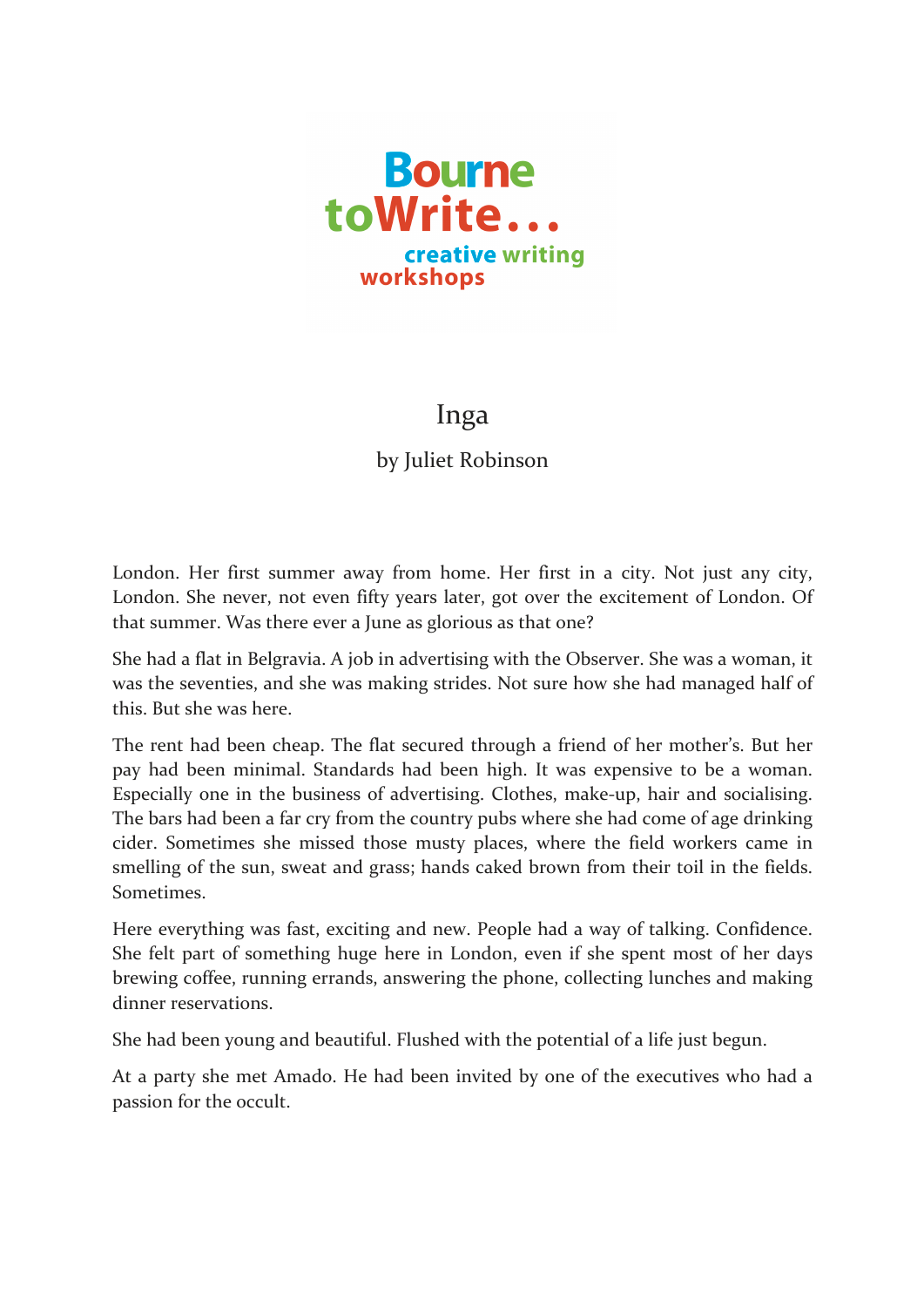

## Inga

by Juliet Robinson

London. Her first summer away from home. Her first in a city. Not just any city, London. She never, not even fifty years later, got over the excitement of London. Of that summer. Was there ever a June as glorious as that one?

She had a flat in Belgravia. A job in advertising with the Observer. She was a woman, it was the seventies, and she was making strides. Not sure how she had managed half of this. But she was here.

The rent had been cheap. The flat secured through a friend of her mother's. But her pay had been minimal. Standards had been high. It was expensive to be a woman. Especially one in the business of advertising. Clothes, make-up, hair and socialising. The bars had been a far cry from the country pubs where she had come of age drinking cider. Sometimes she missed those musty places, where the field workers came in smelling of the sun, sweat and grass; hands caked brown from their toil in the fields. Sometimes. 

Here everything was fast, exciting and new. People had a way of talking. Confidence. She felt part of something huge here in London, even if she spent most of her days brewing coffee, running errands, answering the phone, collecting lunches and making dinner reservations.

She had been young and beautiful. Flushed with the potential of a life just begun.

At a party she met Amado. He had been invited by one of the executives who had a passion for the occult.